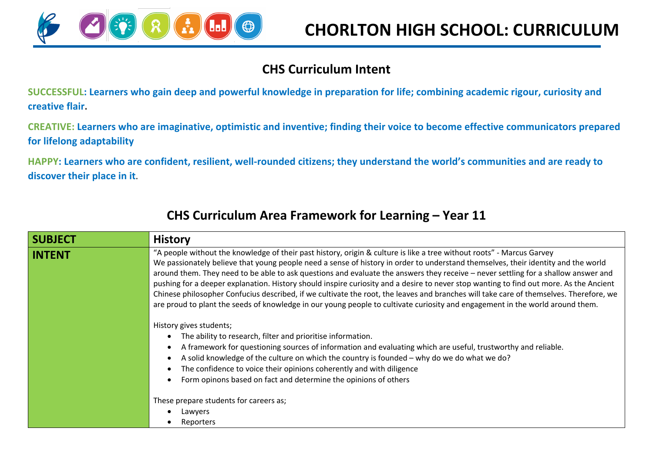

## **CHS Curriculum Intent**

**SUCCESSFUL: Learners who gain deep and powerful knowledge in preparation for life; combining academic rigour, curiosity and creative flair.**

**CREATIVE: Learners who are imaginative, optimistic and inventive; finding their voice to become effective communicators prepared for lifelong adaptability**

**HAPPY: Learners who are confident, resilient, well-rounded citizens; they understand the world's communities and are ready to discover their place in it.**

| <b>SUBJECT</b> | <b>History</b>                                                                                                                                                                                                                                                                                                                                                                                                                                                                                                                                                                                                                                                                                                                                                                                                        |  |  |
|----------------|-----------------------------------------------------------------------------------------------------------------------------------------------------------------------------------------------------------------------------------------------------------------------------------------------------------------------------------------------------------------------------------------------------------------------------------------------------------------------------------------------------------------------------------------------------------------------------------------------------------------------------------------------------------------------------------------------------------------------------------------------------------------------------------------------------------------------|--|--|
| <b>INTENT</b>  | "A people without the knowledge of their past history, origin & culture is like a tree without roots" - Marcus Garvey<br>We passionately believe that young people need a sense of history in order to understand themselves, their identity and the world<br>around them. They need to be able to ask questions and evaluate the answers they receive – never settling for a shallow answer and<br>pushing for a deeper explanation. History should inspire curiosity and a desire to never stop wanting to find out more. As the Ancient<br>Chinese philosopher Confucius described, if we cultivate the root, the leaves and branches will take care of themselves. Therefore, we<br>are proud to plant the seeds of knowledge in our young people to cultivate curiosity and engagement in the world around them. |  |  |
|                | History gives students;<br>The ability to research, filter and prioritise information.<br>$\bullet$<br>A framework for questioning sources of information and evaluating which are useful, trustworthy and reliable.<br>$\bullet$<br>A solid knowledge of the culture on which the country is founded – why do we do what we do?<br>$\bullet$<br>The confidence to voice their opinions coherently and with diligence<br>$\bullet$<br>Form opinons based on fact and determine the opinions of others                                                                                                                                                                                                                                                                                                                 |  |  |
|                | These prepare students for careers as;<br>Lawyers<br>٠<br>Reporters<br>$\bullet$                                                                                                                                                                                                                                                                                                                                                                                                                                                                                                                                                                                                                                                                                                                                      |  |  |

## **CHS Curriculum Area Framework for Learning – Year 11**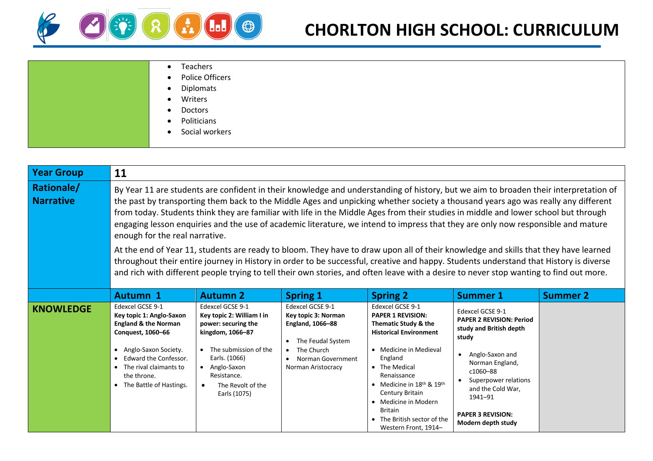

## **CHORLTON HIGH SCHOOL: CURRICULUM**

|                   |                                                                                                                                                                                                                                                                                                                                                                                                                                                | <b>Teachers</b><br><b>Police Officers</b><br><b>Diplomats</b><br>Writers<br><b>Doctors</b><br>Politicians<br>Social workers |                  |                  |                         |                 |  |  |
|-------------------|------------------------------------------------------------------------------------------------------------------------------------------------------------------------------------------------------------------------------------------------------------------------------------------------------------------------------------------------------------------------------------------------------------------------------------------------|-----------------------------------------------------------------------------------------------------------------------------|------------------|------------------|-------------------------|-----------------|--|--|
| <b>Year Group</b> | 11                                                                                                                                                                                                                                                                                                                                                                                                                                             |                                                                                                                             |                  |                  |                         |                 |  |  |
| Rationale/        | By Year 11 are students are confident in their knowledge and understanding of history, but we aim to broaden their interpretation of                                                                                                                                                                                                                                                                                                           |                                                                                                                             |                  |                  |                         |                 |  |  |
| <b>Narrative</b>  | the past by transporting them back to the Middle Ages and unpicking whether society a thousand years ago was really any different<br>from today. Students think they are familiar with life in the Middle Ages from their studies in middle and lower school but through<br>engaging lesson enquiries and the use of academic literature, we intend to impress that they are only now responsible and mature<br>enough for the real narrative. |                                                                                                                             |                  |                  |                         |                 |  |  |
|                   | At the end of Year 11, students are ready to bloom. They have to draw upon all of their knowledge and skills that they have learned<br>throughout their entire journey in History in order to be successful, creative and happy. Students understand that History is diverse<br>and rich with different people trying to tell their own stories, and often leave with a desire to never stop wanting to find out more.                         |                                                                                                                             |                  |                  |                         |                 |  |  |
|                   | <b>Autumn 1</b>                                                                                                                                                                                                                                                                                                                                                                                                                                | <b>Autumn 2</b>                                                                                                             | <b>Spring 1</b>  | <b>Spring 2</b>  | <b>Summer 1</b>         | <b>Summer 2</b> |  |  |
| <b>KNOWLEDGE</b>  | Edexcel GCSE 9-1                                                                                                                                                                                                                                                                                                                                                                                                                               | Edexcel GCSE 9-1                                                                                                            | Edexcel GCSE 9-1 | Edexcel GCSE 9-1 | <b>Edexcel GCSE 9-1</b> |                 |  |  |

| <b>KNOWLEDGE</b> | Auluiii I<br>Edexcel GCSE 9-1<br>Key topic 1: Anglo-Saxon<br><b>England &amp; the Norman</b><br>Conquest, 1060-66<br>Anglo-Saxon Society.<br>Edward the Confessor.<br>The rival claimants to<br>the throne.<br>The Battle of Hastings. | AULUIIII 4<br>Edexcel GCSE 9-1<br>Key topic 2: William I in<br>power: securing the<br>kingdom, 1066-87<br>The submission of the<br>Earls. (1066)<br>Anglo-Saxon<br>Resistance.<br>The Revolt of the<br>Earls (1075) | $J$ $J$ $J$ $J$ $K$ $L$<br>Edexcel GCSE 9-1<br>Key topic 3: Norman<br><b>England, 1066-88</b><br>The Feudal System<br>The Church<br>$\bullet$<br>Norman Government<br>Norman Aristocracy | $J$ $J$ $J$ $J$ $J$ $K$ $L$<br>Edexcel GCSE 9-1<br><b>PAPER 1 REVISION:</b><br>Thematic Study & the<br><b>Historical Environment</b><br>Medicine in Medieval<br>England<br>• The Medical<br>Renaissance<br>Medicine in 18 <sup>th</sup> & 19 <sup>th</sup><br>Century Britain<br>• Medicine in Modern<br><b>Britain</b> | JUIIIIICI T<br>Edexcel GCSE 9-1<br><b>PAPER 2 REVISION: Period</b><br>study and British depth<br>study<br>Anglo-Saxon and<br>Norman England,<br>c1060–88<br>Superpower relations<br>and the Cold War,<br>1941-91 | JUIIIIICI 4 |
|------------------|----------------------------------------------------------------------------------------------------------------------------------------------------------------------------------------------------------------------------------------|---------------------------------------------------------------------------------------------------------------------------------------------------------------------------------------------------------------------|------------------------------------------------------------------------------------------------------------------------------------------------------------------------------------------|-------------------------------------------------------------------------------------------------------------------------------------------------------------------------------------------------------------------------------------------------------------------------------------------------------------------------|------------------------------------------------------------------------------------------------------------------------------------------------------------------------------------------------------------------|-------------|
|                  |                                                                                                                                                                                                                                        |                                                                                                                                                                                                                     |                                                                                                                                                                                          | • The British sector of the<br>Western Front, 1914-                                                                                                                                                                                                                                                                     | <b>PAPER 3 REVISION:</b><br>Modern depth study                                                                                                                                                                   |             |